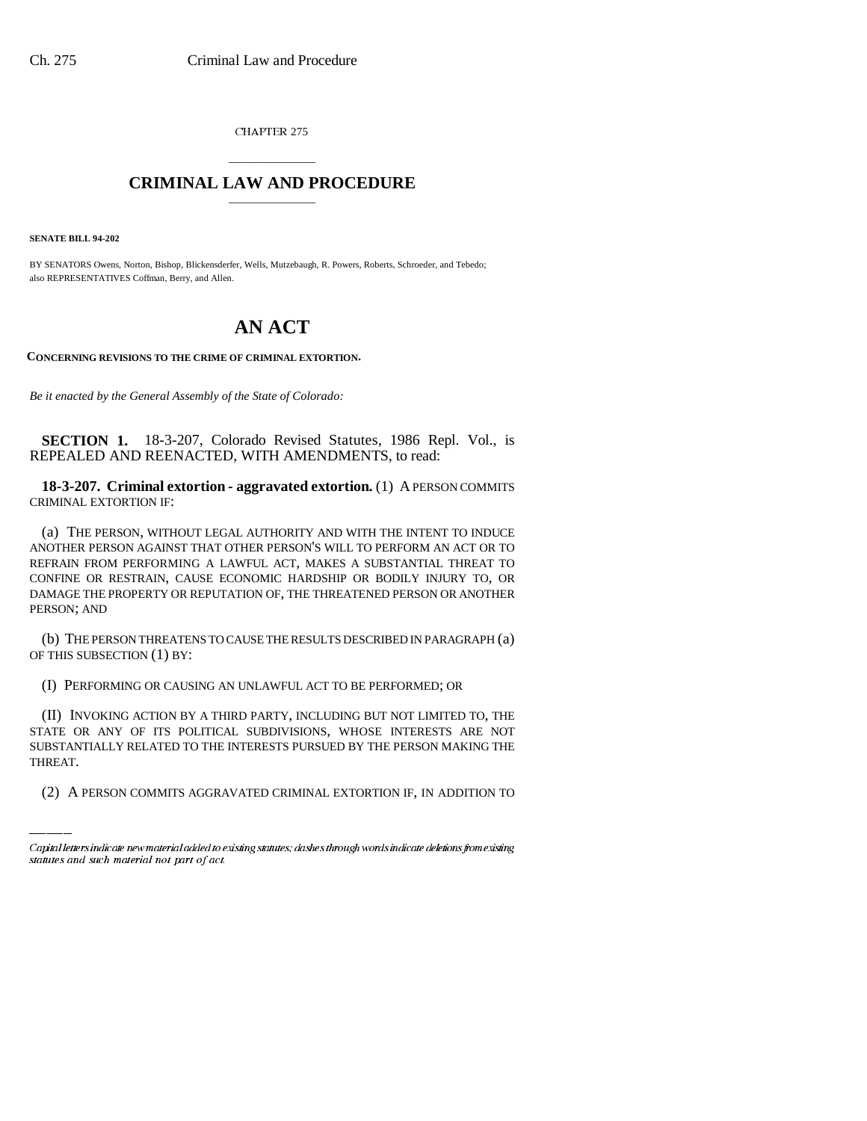CHAPTER 275

## \_\_\_\_\_\_\_\_\_\_\_\_\_\_\_ **CRIMINAL LAW AND PROCEDURE** \_\_\_\_\_\_\_\_\_\_\_\_\_\_\_

**SENATE BILL 94-202**

BY SENATORS Owens, Norton, Bishop, Blickensderfer, Wells, Mutzebaugh, R. Powers, Roberts, Schroeder, and Tebedo; also REPRESENTATIVES Coffman, Berry, and Allen.

## **AN ACT**

**CONCERNING REVISIONS TO THE CRIME OF CRIMINAL EXTORTION.**

*Be it enacted by the General Assembly of the State of Colorado:* 

**SECTION 1.** 18-3-207, Colorado Revised Statutes, 1986 Repl. Vol., is REPEALED AND REENACTED, WITH AMENDMENTS, to read:

**18-3-207. Criminal extortion - aggravated extortion.** (1) A PERSON COMMITS CRIMINAL EXTORTION IF:

(a) THE PERSON, WITHOUT LEGAL AUTHORITY AND WITH THE INTENT TO INDUCE ANOTHER PERSON AGAINST THAT OTHER PERSON'S WILL TO PERFORM AN ACT OR TO REFRAIN FROM PERFORMING A LAWFUL ACT, MAKES A SUBSTANTIAL THREAT TO CONFINE OR RESTRAIN, CAUSE ECONOMIC HARDSHIP OR BODILY INJURY TO, OR DAMAGE THE PROPERTY OR REPUTATION OF, THE THREATENED PERSON OR ANOTHER PERSON; AND

(b) THE PERSON THREATENS TO CAUSE THE RESULTS DESCRIBED IN PARAGRAPH (a) OF THIS SUBSECTION (1) BY:

(I) PERFORMING OR CAUSING AN UNLAWFUL ACT TO BE PERFORMED; OR

STATE OR ANY OF ITS POLITICAL SUBDIVISIONS, WHOSE INTERESTS ARE NOT (II) INVOKING ACTION BY A THIRD PARTY, INCLUDING BUT NOT LIMITED TO, THE SUBSTANTIALLY RELATED TO THE INTERESTS PURSUED BY THE PERSON MAKING THE THREAT.

(2) A PERSON COMMITS AGGRAVATED CRIMINAL EXTORTION IF, IN ADDITION TO

Capital letters indicate new material added to existing statutes; dashes through words indicate deletions from existing statutes and such material not part of act.